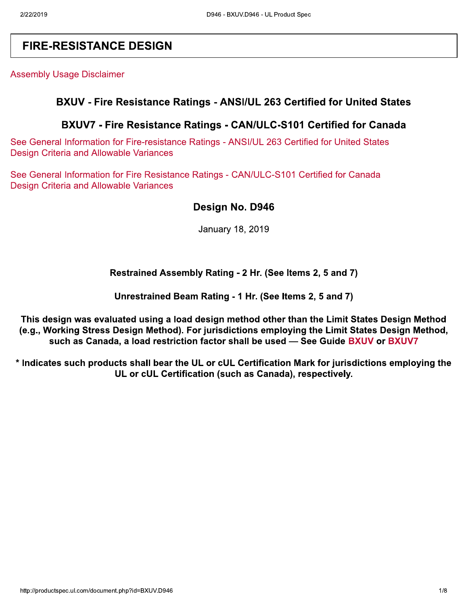# **FIRE-RESISTANCE DESIGN**

**Assembly Usage Disclaimer** 

### BXUV - Fire Resistance Ratings - ANSI/UL 263 Certified for United States

## BXUV7 - Fire Resistance Ratings - CAN/ULC-S101 Certified for Canada

See General Information for Fire-resistance Ratings - ANSI/UL 263 Certified for United States **Design Criteria and Allowable Variances** 

See General Information for Fire Resistance Ratings - CAN/ULC-S101 Certified for Canada **Design Criteria and Allowable Variances** 

## Design No. D946

January 18, 2019

### Restrained Assembly Rating - 2 Hr. (See Items 2, 5 and 7)

Unrestrained Beam Rating - 1 Hr. (See Items 2, 5 and 7)

This design was evaluated using a load design method other than the Limit States Design Method (e.g., Working Stress Design Method). For jurisdictions employing the Limit States Design Method, such as Canada, a load restriction factor shall be used - See Guide BXUV or BXUV7

\* Indicates such products shall bear the UL or cUL Certification Mark for jurisdictions employing the UL or cUL Certification (such as Canada), respectively.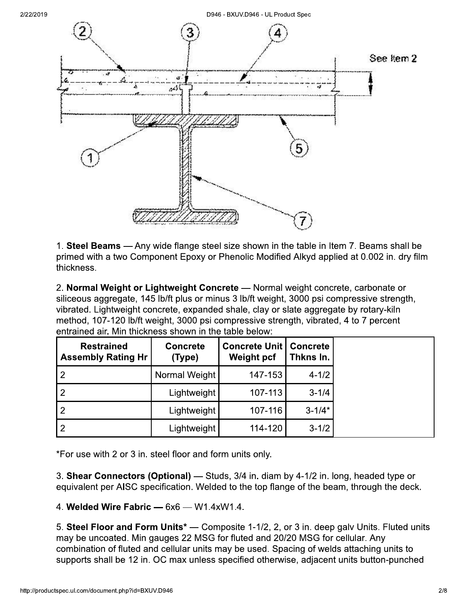

1. Steel Beams — Any wide flange steel size shown in the table in Item 7. Beams shall be primed with a two Component Epoxy or Phenolic Modified Alkyd applied at 0.002 in. dry film thickness.

2. Normal Weight or Lightweight Concrete - Normal weight concrete, carbonate or siliceous aggregate, 145 lb/ft plus or minus 3 lb/ft weight, 3000 psi compressive strength, vibrated. Lightweight concrete, expanded shale, clay or slate aggregate by rotary-kiln method, 107-120 lb/ft weight, 3000 psi compressive strength, vibrated, 4 to 7 percent entrained air. Min thickness shown in the table below:

| <b>Restrained</b><br><b>Assembly Rating Hr</b> | <b>Concrete</b><br>(Type) | <b>Concrete Unit   Concrete</b><br>Weight pcf | Thkns In.  |
|------------------------------------------------|---------------------------|-----------------------------------------------|------------|
| $\overline{2}$                                 | Normal Weight             | 147-153                                       | $4 - 1/2$  |
|                                                | Lightweight               | 107-113                                       | $3 - 1/4$  |
|                                                | Lightweight               | 107-116                                       | $3 - 1/4*$ |
| $\overline{2}$                                 | Lightweight               | 114-120                                       | $3 - 1/2$  |

\*For use with 2 or 3 in. steel floor and form units only.

3. Shear Connectors (Optional) — Studs, 3/4 in. diam by 4-1/2 in. long, headed type or equivalent per AISC specification. Welded to the top flange of the beam, through the deck.

4. Welded Wire Fabric - 6x6 - W1.4xW1.4.

5. Steel Floor and Form Units<sup>\*</sup> — Composite 1-1/2, 2, or 3 in. deep galv Units. Fluted units may be uncoated. Min gauges 22 MSG for fluted and 20/20 MSG for cellular. Any combination of fluted and cellular units may be used. Spacing of welds attaching units to supports shall be 12 in. OC max unless specified otherwise, adjacent units button-punched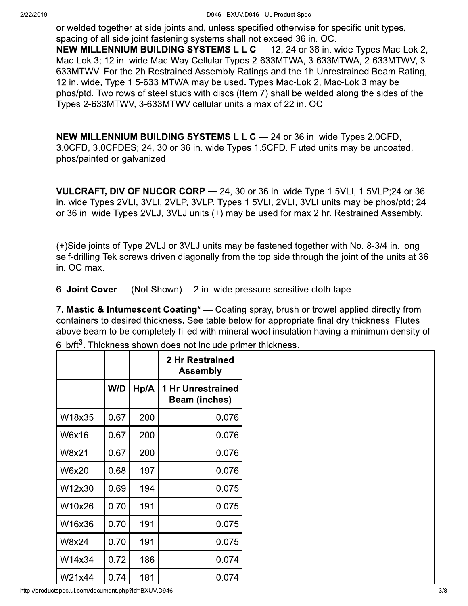or welded together at side joints and, unless specified otherwise for specific unit types. spacing of all side joint fastening systems shall not exceed 36 in. OC.

**NEW MILLENNIUM BUILDING SYSTEMS L L C** - 12, 24 or 36 in. wide Types Mac-Lok 2, Mac-Lok 3; 12 in. wide Mac-Way Cellular Types 2-633MTWA, 3-633MTWA, 2-633MTWV, 3-633MTWV. For the 2h Restrained Assembly Ratings and the 1h Unrestrained Beam Rating, 12 in. wide, Type 1.5-633 MTWA may be used. Types Mac-Lok 2, Mac-Lok 3 may be phos/ptd. Two rows of steel studs with discs (Item 7) shall be welded along the sides of the Types 2-633MTWV, 3-633MTWV cellular units a max of 22 in. OC.

**NEW MILLENNIUM BUILDING SYSTEMS L L C** - 24 or 36 in. wide Types 2.0CFD, 3.0CFD, 3.0CFDES; 24, 30 or 36 in. wide Types 1.5CFD. Fluted units may be uncoated, phos/painted or galvanized.

**VULCRAFT, DIV OF NUCOR CORP** - 24, 30 or 36 in. wide Type 1.5VLI, 1.5VLP;24 or 36 in. wide Types 2VLI, 3VLI, 2VLP, 3VLP. Types 1.5VLI, 2VLI, 3VLI units may be phos/ptd; 24 or 36 in. wide Types 2VLJ, 3VLJ units (+) may be used for max 2 hr. Restrained Assembly.

(+)Side joints of Type 2VLJ or 3VLJ units may be fastened together with No. 8-3/4 in. long self-drilling Tek screws driven diagonally from the top side through the joint of the units at 36 in. OC max.

6. Joint Cover - (Not Shown) - 2 in. wide pressure sensitive cloth tape.

7. Mastic & Intumescent Coating<sup>\*</sup> — Coating spray, brush or trowel applied directly from containers to desired thickness. See table below for appropriate final dry thickness. Flutes above beam to be completely filled with mineral wool insulation having a minimum density of

|              |      |      | 2 Hr Restrained<br><b>Assembly</b>               |
|--------------|------|------|--------------------------------------------------|
|              | W/D  | Hp/A | <b>1 Hr Unrestrained</b><br><b>Beam (inches)</b> |
| W18x35       | 0.67 | 200  | 0.076                                            |
| <b>W6x16</b> | 0.67 | 200  | 0.076                                            |
| W8x21        | 0.67 | 200  | 0.076                                            |
| <b>W6x20</b> | 0.68 | 197  | 0.076                                            |
| W12x30       | 0.69 | 194  | 0.075                                            |
| W10x26       | 0.70 | 191  | 0.075                                            |
| W16x36       | 0.70 | 191  | 0.075                                            |
| W8x24        | 0.70 | 191  | 0.075                                            |
| W14x34       | 0.72 | 186  | 0.074                                            |
| W21x44       | 0.74 | 181  | 0.074                                            |

6 lb/ft<sup>3</sup>. Thickness shown does not include primer thickness.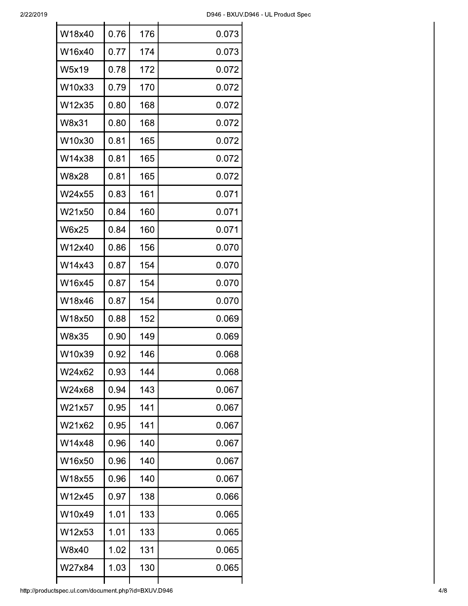| W18x40 | 0.76 | 176 | 0.073 |
|--------|------|-----|-------|
| W16x40 | 0.77 | 174 | 0.073 |
| W5x19  | 0.78 | 172 | 0.072 |
| W10x33 | 0.79 | 170 | 0.072 |
| W12x35 | 0.80 | 168 | 0.072 |
| W8x31  | 0.80 | 168 | 0.072 |
| W10x30 | 0.81 | 165 | 0.072 |
| W14x38 | 0.81 | 165 | 0.072 |
| W8x28  | 0.81 | 165 | 0.072 |
| W24x55 | 0.83 | 161 | 0.071 |
| W21x50 | 0.84 | 160 | 0.071 |
| W6x25  | 0.84 | 160 | 0.071 |
| W12x40 | 0.86 | 156 | 0.070 |
| W14x43 | 0.87 | 154 | 0.070 |
| W16x45 | 0.87 | 154 | 0.070 |
| W18x46 | 0.87 | 154 | 0.070 |
| W18x50 | 0.88 | 152 | 0.069 |
| W8x35  | 0.90 | 149 | 0.069 |
| W10x39 | 0.92 | 146 | 0.068 |
| W24x62 | 0.93 | 144 | 0.068 |
| W24x68 | 0.94 | 143 | 0.067 |
| W21x57 | 0.95 | 141 | 0.067 |
| W21x62 | 0.95 | 141 | 0.067 |
| W14x48 | 0.96 | 140 | 0.067 |
| W16x50 | 0.96 | 140 | 0.067 |
| W18x55 | 0.96 | 140 | 0.067 |
| W12x45 | 0.97 | 138 | 0.066 |
| W10x49 | 1.01 | 133 | 0.065 |
| W12x53 | 1.01 | 133 | 0.065 |
| W8x40  | 1.02 | 131 | 0.065 |
| W27x84 | 1.03 | 130 | 0.065 |
|        |      |     |       |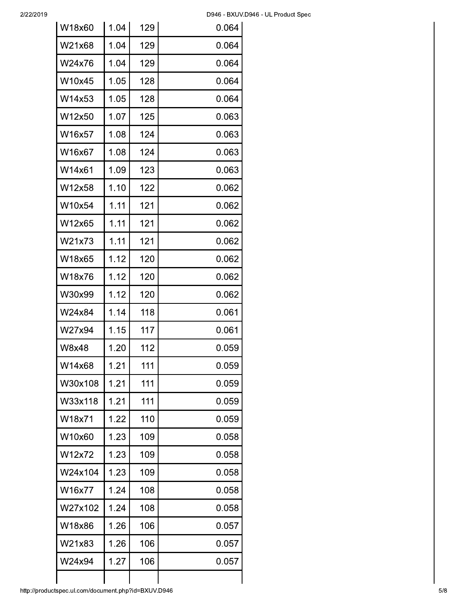| W18x60  | 1.04 | 129 | 0.064 |
|---------|------|-----|-------|
| W21x68  | 1.04 | 129 | 0.064 |
| W24x76  | 1.04 | 129 | 0.064 |
| W10x45  | 1.05 | 128 | 0.064 |
| W14x53  | 1.05 | 128 | 0.064 |
| W12x50  | 1.07 | 125 | 0.063 |
| W16x57  | 1.08 | 124 | 0.063 |
| W16x67  | 1.08 | 124 | 0.063 |
| W14x61  | 1.09 | 123 | 0.063 |
| W12x58  | 1.10 | 122 | 0.062 |
| W10x54  | 1.11 | 121 | 0.062 |
| W12x65  | 1.11 | 121 | 0.062 |
| W21x73  | 1.11 | 121 | 0.062 |
| W18x65  | 1.12 | 120 | 0.062 |
| W18x76  | 1.12 | 120 | 0.062 |
| W30x99  | 1.12 | 120 | 0.062 |
| W24x84  | 1.14 | 118 | 0.061 |
| W27x94  | 1.15 | 117 | 0.061 |
| W8x48   | 1.20 | 112 | 0.059 |
| W14x68  | 1.21 | 111 | 0.059 |
| W30x108 | 1.21 | 111 | 0.059 |
| W33x118 | 1.21 | 111 | 0.059 |
| W18x71  | 1.22 | 110 | 0.059 |
| W10x60  | 1.23 | 109 | 0.058 |
| W12x72  | 1.23 | 109 | 0.058 |
| W24x104 | 1.23 | 109 | 0.058 |
| W16x77  | 1.24 | 108 | 0.058 |
| W27x102 | 1.24 | 108 | 0.058 |
| W18x86  | 1.26 | 106 | 0.057 |
| W21x83  | 1.26 | 106 | 0.057 |
| W24x94  | 1.27 | 106 | 0.057 |
|         |      |     |       |

 $\mathbf{I}$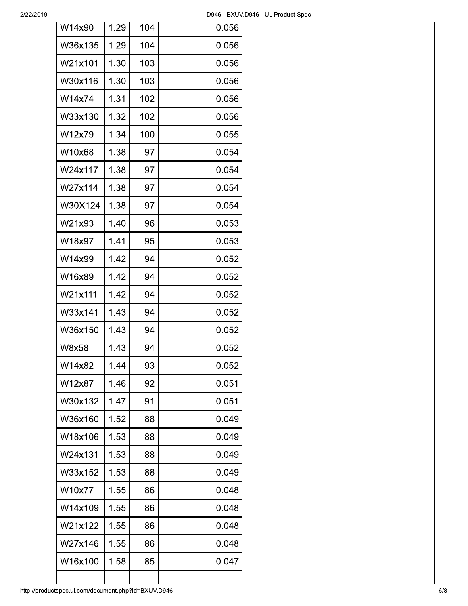$\overline{\phantom{a}}$ 

| W14x90  | 1.29 | 104 | 0.056 |
|---------|------|-----|-------|
| W36x135 | 1.29 | 104 | 0.056 |
| W21x101 | 1.30 | 103 | 0.056 |
| W30x116 | 1.30 | 103 | 0.056 |
| W14x74  | 1.31 | 102 | 0.056 |
| W33x130 | 1.32 | 102 | 0.056 |
| W12x79  | 1.34 | 100 | 0.055 |
| W10x68  | 1.38 | 97  | 0.054 |
| W24x117 | 1.38 | 97  | 0.054 |
| W27x114 | 1.38 | 97  | 0.054 |
| W30X124 | 1.38 | 97  | 0.054 |
| W21x93  | 1.40 | 96  | 0.053 |
| W18x97  | 1.41 | 95  | 0.053 |
| W14x99  | 1.42 | 94  | 0.052 |
| W16x89  | 1.42 | 94  | 0.052 |
| W21x111 | 1.42 | 94  | 0.052 |
| W33x141 | 1.43 | 94  | 0.052 |
| W36x150 | 1.43 | 94  | 0.052 |
| W8x58   | 1.43 | 94  | 0.052 |
| W14x82  | 1.44 | 93  | 0.052 |
| W12x87  | 1.46 | 92  | 0.051 |
| W30x132 | 1.47 | 91  | 0.051 |
| W36x160 | 1.52 | 88  | 0.049 |
| W18x106 | 1.53 | 88  | 0.049 |
| W24x131 | 1.53 | 88  | 0.049 |
| W33x152 | 1.53 | 88  | 0.049 |
| W10x77  | 1.55 | 86  | 0.048 |
| W14x109 | 1.55 | 86  | 0.048 |
| W21x122 | 1.55 | 86  | 0.048 |
| W27x146 | 1.55 | 86  | 0.048 |
| W16x100 | 1.58 | 85  | 0.047 |
|         |      |     |       |

 $\mathbf{I}$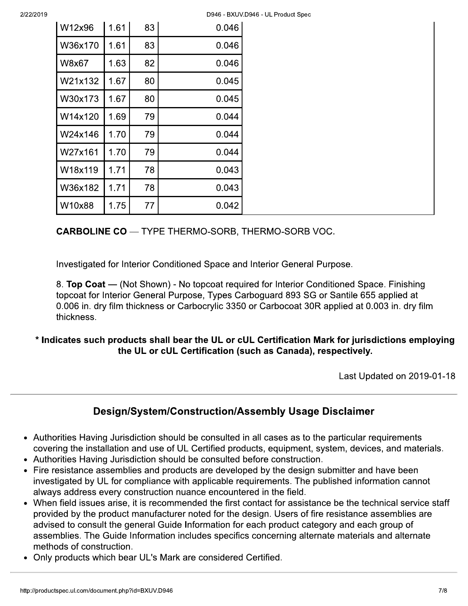| W12x96       | 1.61 | 83 | 0.046 |
|--------------|------|----|-------|
| W36x170      | 1.61 | 83 | 0.046 |
| <b>W8x67</b> | 1.63 | 82 | 0.046 |
| W21x132      | 1.67 | 80 | 0.045 |
| W30x173      | 1.67 | 80 | 0.045 |
| W14x120      | 1.69 | 79 | 0.044 |
| W24x146      | 1.70 | 79 | 0.044 |
| W27x161      | 1.70 | 79 | 0.044 |
| W18x119      | 1.71 | 78 | 0.043 |
| W36x182      | 1.71 | 78 | 0.043 |
| W10x88       | 1.75 | 77 | 0.042 |

**CARBOLINE CO** - TYPE THERMO-SORB, THERMO-SORB VOC.

Investigated for Interior Conditioned Space and Interior General Purpose.

8. Top Coat — (Not Shown) - No topcoat required for Interior Conditioned Space. Finishing topcoat for Interior General Purpose, Types Carboguard 893 SG or Santile 655 applied at 0.006 in. dry film thickness or Carbocrylic 3350 or Carbocoat 30R applied at 0.003 in. dry film thickness.

# \* Indicates such products shall bear the UL or cUL Certification Mark for jurisdictions employing the UL or cUL Certification (such as Canada), respectively.

Last Updated on 2019-01-18

# Design/System/Construction/Assembly Usage Disclaimer

- Authorities Having Jurisdiction should be consulted in all cases as to the particular requirements covering the installation and use of UL Certified products, equipment, system, devices, and materials.
- Authorities Having Jurisdiction should be consulted before construction.
- Fire resistance assemblies and products are developed by the design submitter and have been investigated by UL for compliance with applicable requirements. The published information cannot always address every construction nuance encountered in the field.
- When field issues arise, it is recommended the first contact for assistance be the technical service staff provided by the product manufacturer noted for the design. Users of fire resistance assemblies are advised to consult the general Guide Information for each product category and each group of assemblies. The Guide Information includes specifics concerning alternate materials and alternate methods of construction.
- Only products which bear UL's Mark are considered Certified.